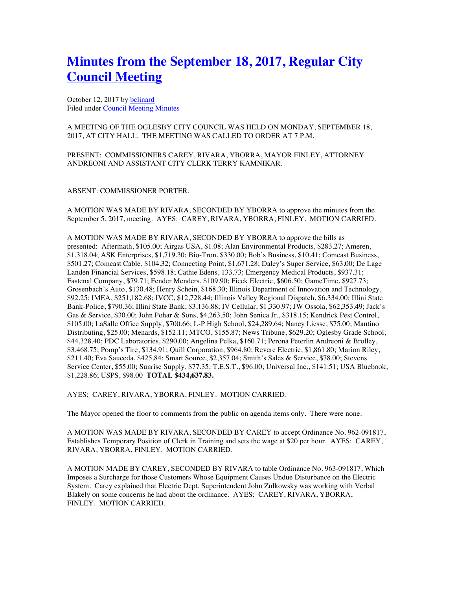## **Minutes from the September 18, 2017, Regular City Council Meeting**

October 12, 2017 by bclinard Filed under Council Meeting Minutes

A MEETING OF THE OGLESBY CITY COUNCIL WAS HELD ON MONDAY, SEPTEMBER 18, 2017, AT CITY HALL. THE MEETING WAS CALLED TO ORDER AT 7 P.M.

PRESENT: COMMISSIONERS CAREY, RIVARA, YBORRA, MAYOR FINLEY, ATTORNEY ANDREONI AND ASSISTANT CITY CLERK TERRY KAMNIKAR.

## ABSENT: COMMISSIONER PORTER.

A MOTION WAS MADE BY RIVARA, SECONDED BY YBORRA to approve the minutes from the September 5, 2017, meeting. AYES: CAREY, RIVARA, YBORRA, FINLEY. MOTION CARRIED.

A MOTION WAS MADE BY RIVARA, SECONDED BY YBORRA to approve the bills as presented: Aftermath, \$105.00; Airgas USA, \$1.08; Alan Environmental Products, \$283.27; Ameren, \$1,318.04; ASK Enterprises, \$1,719.30; Bio-Tron, \$330.00; Bob's Business, \$10.41; Comcast Business, \$501.27; Comcast Cable, \$104.32; Connecting Point, \$1,671.28; Daley's Super Service, \$63.00; De Lage Landen Financial Services, \$598.18; Cathie Edens, 133.73; Emergency Medical Products, \$937.31; Fastenal Company, \$79.71; Fender Menders, \$109.90; Ficek Electric, \$606.50; GameTime, \$927.73; Grosenbach's Auto, \$130.48; Henry Schein, \$168.30; Illinois Department of Innovation and Technology, \$92.25; IMEA, \$251,182.68; IVCC, \$12,728.44; Illinois Valley Regional Dispatch, \$6,334.00; Illini State Bank-Police, \$790.36; Illini State Bank, \$3,136.88; IV Cellular, \$1,330.97; JW Ossola, \$62,353.49; Jack's Gas & Service, \$30.00; John Pohar & Sons, \$4,263.50; John Senica Jr., \$318.15; Kendrick Pest Control, \$105.00; LaSalle Office Supply, \$700.66; L-P High School, \$24,289.64; Nancy Liesse, \$75.00; Mautino Distributing, \$25.00; Menards, \$152.11; MTCO, \$155.87; News Tribune, \$629.20; Oglesby Grade School, \$44,328.40; PDC Laboratories, \$290.00; Angelina Pelka, \$160.71; Perona Peterlin Andreoni & Brolley, \$3,468.75; Pomp's Tire, \$134.91; Quill Corporation, \$964.80; Revere Electric, \$1,861.80; Marion Riley, \$211.40; Eva Sauceda, \$425.84; Smart Source, \$2,357.04; Smith's Sales & Service, \$78.00; Stevens Service Center, \$55.00; Sunrise Supply, \$77.35; T.E.S.T., \$96.00; Universal Inc., \$141.51; USA Bluebook, \$1,228.86; USPS, \$98.00 **TOTAL \$434,637.83.**

AYES: CAREY, RIVARA, YBORRA, FINLEY. MOTION CARRIED.

The Mayor opened the floor to comments from the public on agenda items only. There were none.

A MOTION WAS MADE BY RIVARA, SECONDED BY CAREY to accept Ordinance No. 962-091817, Establishes Temporary Position of Clerk in Training and sets the wage at \$20 per hour. AYES: CAREY, RIVARA, YBORRA, FINLEY. MOTION CARRIED.

A MOTION MADE BY CAREY, SECONDED BY RIVARA to table Ordinance No. 963-091817, Which Imposes a Surcharge for those Customers Whose Equipment Causes Undue Disturbance on the Electric System. Carey explained that Electric Dept. Superintendent John Zulkowsky was working with Verbal Blakely on some concerns he had about the ordinance. AYES: CAREY, RIVARA, YBORRA, FINLEY. MOTION CARRIED.